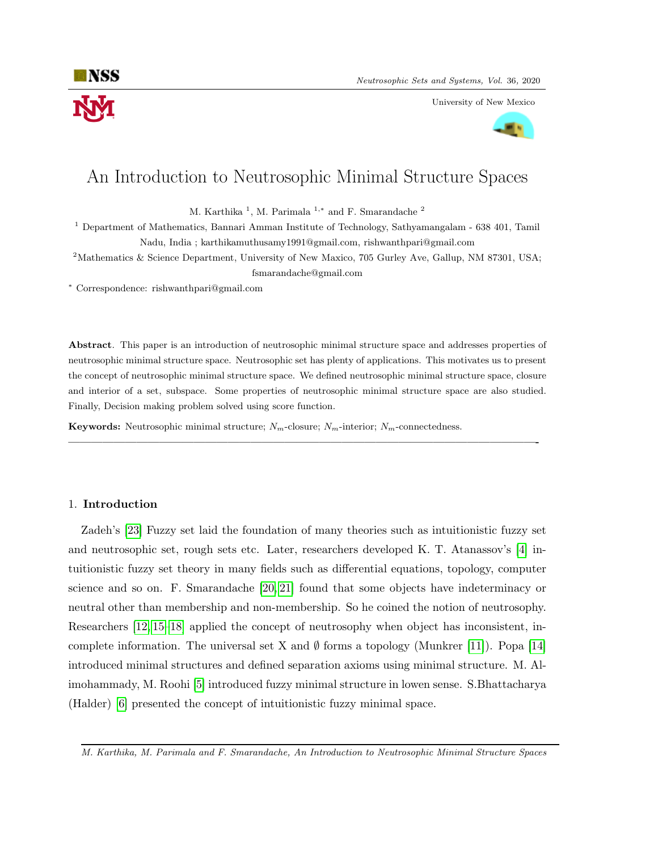

University of New Mexico



# An Introduction to Neutrosophic Minimal Structure Spaces

M. Karthika<sup>1</sup>, M. Parimala<sup>1,\*</sup> and F. Smarandache<sup>2</sup>

<sup>1</sup> Department of Mathematics, Bannari Amman Institute of Technology, Sathyamangalam - 638 401, Tamil Nadu, India ; karthikamuthusamy1991@gmail.com, rishwanthpari@gmail.com

<sup>2</sup>Mathematics & Science Department, University of New Maxico, 705 Gurley Ave, Gallup, NM 87301, USA; fsmarandache@gmail.com

<sup>∗</sup> Correspondence: rishwanthpari@gmail.com

Abstract. This paper is an introduction of neutrosophic minimal structure space and addresses properties of neutrosophic minimal structure space. Neutrosophic set has plenty of applications. This motivates us to present the concept of neutrosophic minimal structure space. We defined neutrosophic minimal structure space, closure and interior of a set, subspace. Some properties of neutrosophic minimal structure space are also studied. Finally, Decision making problem solved using score function.

—————————————————————————————————————————-

**Keywords:** Neutrosophic minimal structure;  $N_m$ -closure;  $N_m$ -interior;  $N_m$ -connectedness.

# 1. Introduction

Zadeh's [\[23\]](#page-10-0) Fuzzy set laid the foundation of many theories such as intuitionistic fuzzy set and neutrosophic set, rough sets etc. Later, researchers developed K. T. Atanassov's [\[4\]](#page-9-0) intuitionistic fuzzy set theory in many fields such as differential equations, topology, computer science and so on. F. Smarandache [\[20,](#page-10-1) [21\]](#page-10-2) found that some objects have indeterminacy or neutral other than membership and non-membership. So he coined the notion of neutrosophy. Researchers [\[12,](#page-9-1) [15](#page-9-2)[–18\]](#page-10-3) applied the concept of neutrosophy when object has inconsistent, incomplete information. The universal set X and  $\emptyset$  forms a topology (Munkrer [\[11\]](#page-9-3)). Popa [\[14\]](#page-9-4) introduced minimal structures and defined separation axioms using minimal structure. M. Alimohammady, M. Roohi [\[5\]](#page-9-5) introduced fuzzy minimal structure in lowen sense. S.Bhattacharya (Halder) [\[6\]](#page-9-6) presented the concept of intuitionistic fuzzy minimal space.

M. Karthika, M. Parimala and F. Smarandache, An Introduction to Neutrosophic Minimal Structure Spaces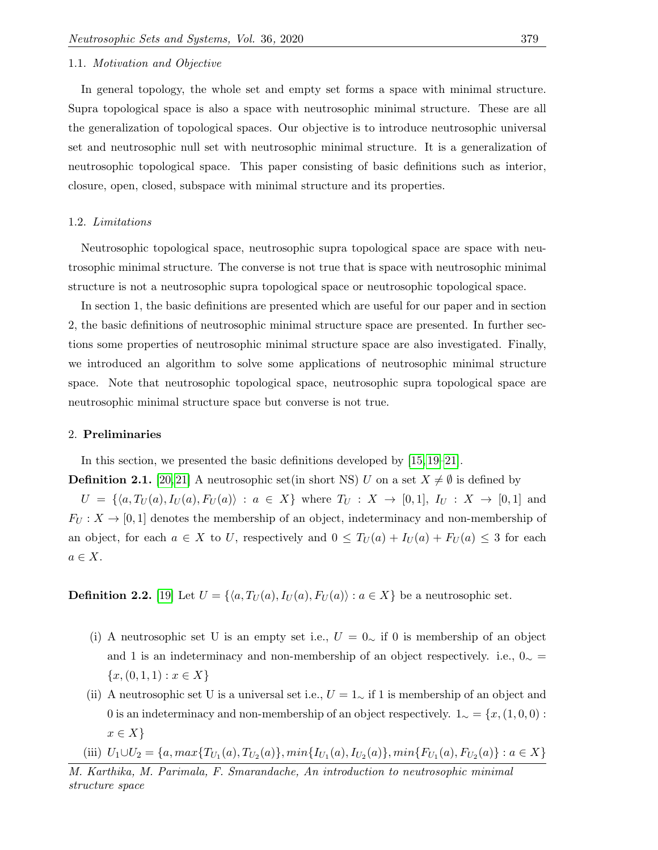# 1.1. Motivation and Objective

In general topology, the whole set and empty set forms a space with minimal structure. Supra topological space is also a space with neutrosophic minimal structure. These are all the generalization of topological spaces. Our objective is to introduce neutrosophic universal set and neutrosophic null set with neutrosophic minimal structure. It is a generalization of neutrosophic topological space. This paper consisting of basic definitions such as interior, closure, open, closed, subspace with minimal structure and its properties.

### 1.2. Limitations

Neutrosophic topological space, neutrosophic supra topological space are space with neutrosophic minimal structure. The converse is not true that is space with neutrosophic minimal structure is not a neutrosophic supra topological space or neutrosophic topological space.

In section 1, the basic definitions are presented which are useful for our paper and in section 2, the basic definitions of neutrosophic minimal structure space are presented. In further sections some properties of neutrosophic minimal structure space are also investigated. Finally, we introduced an algorithm to solve some applications of neutrosophic minimal structure space. Note that neutrosophic topological space, neutrosophic supra topological space are neutrosophic minimal structure space but converse is not true.

#### 2. Preliminaries

In this section, we presented the basic definitions developed by [\[15,](#page-9-2) [19–](#page-10-4)[21\]](#page-10-2).

**Definition 2.1.** [\[20,](#page-10-1) [21\]](#page-10-2) A neutrosophic set(in short NS) U on a set  $X \neq \emptyset$  is defined by

 $U = \{ \langle a, T_U (a), I_U (a), F_U (a) \rangle : a \in X \}$  where  $T_U : X \to [0, 1], I_U : X \to [0, 1]$  and  $F_U: X \to [0,1]$  denotes the membership of an object, indeterminacy and non-membership of an object, for each  $a \in X$  to U, respectively and  $0 \leq T_U(a) + I_U(a) + F_U(a) \leq 3$  for each  $a \in X$ .

**Definition 2.2.** [\[19\]](#page-10-4) Let  $U = \{ \langle a, T_U(a), I_U(a), F_U(a) \rangle : a \in X \}$  be a neutrosophic set.

- (i) A neutrosophic set U is an empty set i.e.,  $U = 0<sub>∼</sub>$  if 0 is membership of an object and 1 is an indeterminacy and non-membership of an object respectively. i.e.,  $0_{\sim}$  =  ${x, (0, 1, 1) : x \in X}$
- (ii) A neutrosophic set U is a universal set i.e.,  $U = 1_{\sim}$  if 1 is membership of an object and 0 is an indeterminacy and non-membership of an object respectively.  $1 \sim \frac{1}{x}$ ,  $(1, 0, 0)$ :  $x \in X$
- (iii)  $U_1 \cup U_2 = \{a, max\{T_{U_1}(a), T_{U_2}(a)\}, min\{I_{U_1}(a), I_{U_2}(a)\}, min\{F_{U_1}(a), F_{U_2}(a)\} : a \in X\}$

M. Karthika, M. Parimala, F. Smarandache, An introduction to neutrosophic minimal structure space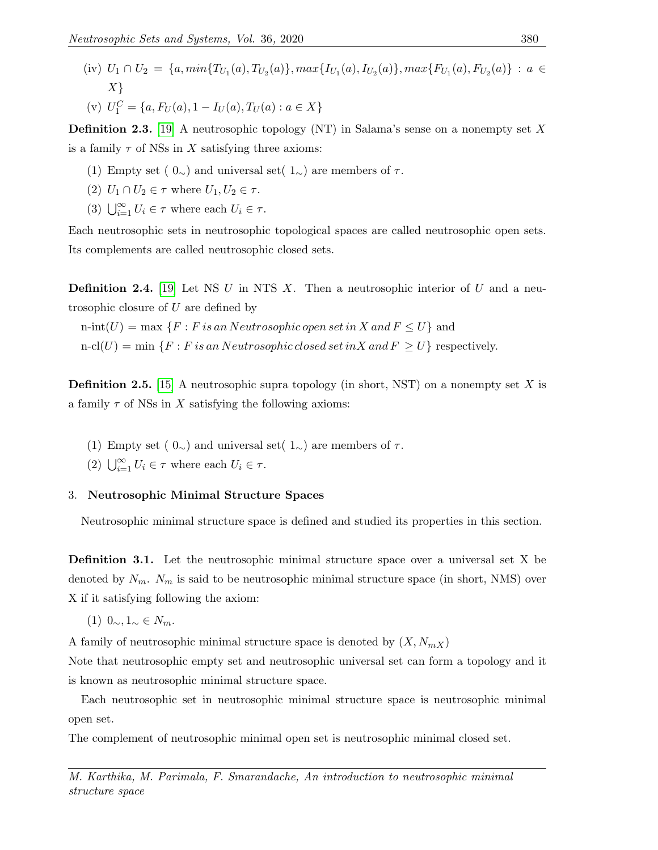(iv)  $U_1 \cap U_2 = \{a, min\{T_{U_1}(a), T_{U_2}(a)\}, max\{I_{U_1}(a), I_{U_2}(a)\}, max\{F_{U_1}(a), F_{U_2}(a)\} : a \in$  $X\}$ (v)  $U_1^C = \{a, F_U(a), 1 - I_U(a), T_U(a) : a \in X\}$ 

**Definition 2.3.** [\[19\]](#page-10-4) A neutrosophic topology (NT) in Salama's sense on a nonempty set X is a family  $\tau$  of NSs in X satisfying three axioms:

- (1) Empty set ( $0\sim$ ) and universal set(  $1\sim$ ) are members of  $\tau$ .
- (2)  $U_1 \cap U_2 \in \tau$  where  $U_1, U_2 \in \tau$ .
- (3)  $\bigcup_{i=1}^{\infty} U_i \in \tau$  where each  $U_i \in \tau$ .

Each neutrosophic sets in neutrosophic topological spaces are called neutrosophic open sets. Its complements are called neutrosophic closed sets.

**Definition 2.4.** [\[19\]](#page-10-4) Let NS  $U$  in NTS  $X$ . Then a neutrosophic interior of  $U$  and a neutrosophic closure of U are defined by

n-int(U) = max  $\{F : F \text{ is an Newton} is open set in X and F \leq U\}$  and

 $n\text{-}cl(U) = \min \{F : F \text{ is an Neutron} of the closed set in X \text{ and } F \geq U\}$  respectively.

**Definition 2.5.** [\[15\]](#page-9-2) A neutrosophic supra topology (in short, NST) on a nonempty set X is a family  $\tau$  of NSs in X satisfying the following axioms:

- (1) Empty set ( $0\sim$ ) and universal set(  $1\sim$ ) are members of  $\tau$ .
- (2)  $\bigcup_{i=1}^{\infty} U_i \in \tau$  where each  $U_i \in \tau$ .

# 3. Neutrosophic Minimal Structure Spaces

Neutrosophic minimal structure space is defined and studied its properties in this section.

**Definition 3.1.** Let the neutrosophic minimal structure space over a universal set X be denoted by  $N_m$ .  $N_m$  is said to be neutrosophic minimal structure space (in short, NMS) over X if it satisfying following the axiom:

(1)  $0_{\sim}$ ,  $1_{\sim}$  ∈  $N_m$ .

A family of neutrosophic minimal structure space is denoted by  $(X, N_{mX})$ 

Note that neutrosophic empty set and neutrosophic universal set can form a topology and it is known as neutrosophic minimal structure space.

Each neutrosophic set in neutrosophic minimal structure space is neutrosophic minimal open set.

The complement of neutrosophic minimal open set is neutrosophic minimal closed set.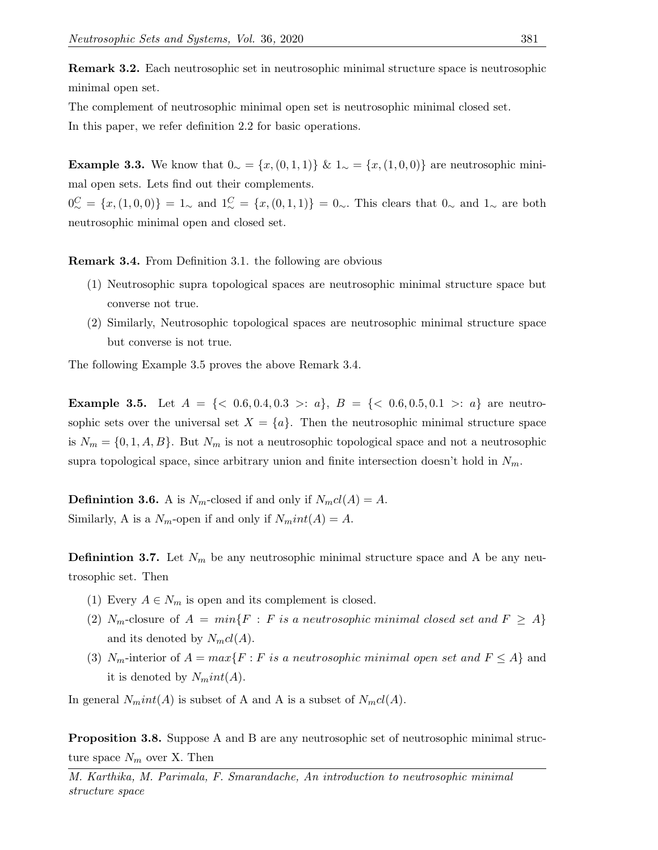Remark 3.2. Each neutrosophic set in neutrosophic minimal structure space is neutrosophic minimal open set.

The complement of neutrosophic minimal open set is neutrosophic minimal closed set.

In this paper, we refer definition 2.2 for basic operations.

Example 3.3. We know that  $0 \sim \{x,(0,1,1)\}$  &  $1 \sim \{x,(1,0,0)\}$  are neutrosophic minimal open sets. Lets find out their complements.

 $0^C_{\sim} = \{x, (1, 0, 0)\} = 1_{\sim}$  and  $1^C_{\sim} = \{x, (0, 1, 1)\} = 0_{\sim}$ . This clears that  $0_{\sim}$  and  $1_{\sim}$  are both neutrosophic minimal open and closed set.

Remark 3.4. From Definition 3.1. the following are obvious

- (1) Neutrosophic supra topological spaces are neutrosophic minimal structure space but converse not true.
- (2) Similarly, Neutrosophic topological spaces are neutrosophic minimal structure space but converse is not true.

The following Example 3.5 proves the above Remark 3.4.

**Example 3.5.** Let  $A = \{< 0.6, 0.4, 0.3 > : a\}, B = \{< 0.6, 0.5, 0.1 > : a\}$  are neutrosophic sets over the universal set  $X = \{a\}$ . Then the neutrosophic minimal structure space is  $N_m = \{0, 1, A, B\}$ . But  $N_m$  is not a neutrosophic topological space and not a neutrosophic supra topological space, since arbitrary union and finite intersection doesn't hold in  $N_m$ .

**Definintion 3.6.** A is  $N_m$ -closed if and only if  $N_mcl(A) = A$ . Similarly, A is a  $N_m$ -open if and only if  $N_mint(A) = A$ .

**Definintion 3.7.** Let  $N_m$  be any neutrosophic minimal structure space and A be any neutrosophic set. Then

- (1) Every  $A \in N_m$  is open and its complement is closed.
- (2)  $N_m$ -closure of  $A = min\{F : F \text{ is a neutrosophic minimal closed set and } F \geq A\}$ and its denoted by  $N_{m}cl(A)$ .
- (3)  $N_m$ -interior of  $A = max\{F : F \text{ is a neutrosophic minimal open set and } F \leq A\}$  and it is denoted by  $N<sub>m</sub>int(A)$ .

In general  $N<sub>m</sub>int(A)$  is subset of A and A is a subset of  $N<sub>m</sub>cl(A)$ .

**Proposition 3.8.** Suppose A and B are any neutrosophic set of neutrosophic minimal structure space  $N_m$  over X. Then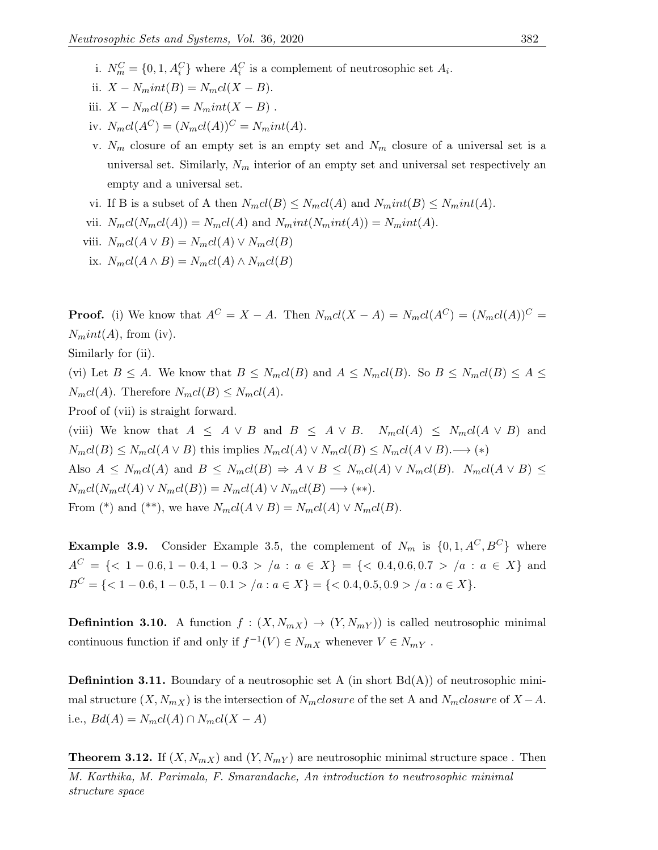- i.  $N_m^C = \{0, 1, A_i^C\}$  where  $A_i^C$  is a complement of neutrosophic set  $A_i$ .
- ii.  $X N<sub>m</sub>int(B) = N<sub>m</sub>cl(X B)$ .
- iii.  $X N_mcl(B) = N_mint(X B)$ .
- iv.  $N_mcl(A^C) = (N_mcl(A))^C = N_mint(A)$ .
- v.  $N_m$  closure of an empty set is an empty set and  $N_m$  closure of a universal set is a universal set. Similarly,  $N_m$  interior of an empty set and universal set respectively an empty and a universal set.
- vi. If B is a subset of A then  $N_mcl(B) \leq N_mcl(A)$  and  $N_mint(B) \leq N_mint(A)$ .
- vii.  $N_mcl(N_mcl(A)) = N_mcl(A)$  and  $N_mint(N_mint(A)) = N_mint(A)$ .

viii. 
$$
N_mcl(A \vee B) = N_mcl(A) \vee N_mcl(B)
$$

ix.  $N_{m}cl(A \wedge B) = N_{m}cl(A) \wedge N_{m}cl(B)$ 

**Proof.** (i) We know that  $A^C = X - A$ . Then  $N_mcl(X - A) = N_mcl(A^C) = (N_mcl(A))^C$  $N<sub>m</sub>int(A)$ , from (iv).

Similarly for (ii).

(vi) Let  $B \le A$ . We know that  $B \le N_mcl(B)$  and  $A \le N_mcl(B)$ . So  $B \le N_mcl(B) \le A \le$  $N_mcl(A)$ . Therefore  $N_mcl(B) \leq N_mcl(A)$ .

Proof of (vii) is straight forward.

(viii) We know that  $A \leq A \vee B$  and  $B \leq A \vee B$ .  $N_mcl(A) \leq N_mcl(A \vee B)$  and  $N_mcl(B) \leq N_mcl(A \vee B)$  this implies  $N_mcl(A) \vee N_mcl(B) \leq N_mcl(A \vee B)$ . → (\*) Also  $A \le N_mcl(A)$  and  $B \le N_mcl(B) \Rightarrow A \vee B \le N_mcl(A) \vee N_mcl(B)$ .  $N_mcl(A \vee B) \le$  $N_mcl(N_mcl(A) \vee N_mcl(B)) = N_mcl(A) \vee N_mcl(B) \longrightarrow$  (\*\*). From (\*) and (\*\*), we have  $N_mcl(A \vee B) = N_mcl(A) \vee N_mcl(B)$ .

**Example 3.9.** Consider Example 3.5, the complement of  $N_m$  is  $\{0, 1, A^C, B^C\}$  where  $A^C = \{<1 - 0.6, 1 - 0.4, 1 - 0.3 > /a : a \in X\} = \{<0.4, 0.6, 0.7 > /a : a \in X\}$  and  $B^C = \{ <1 - 0.6, 1 - 0.5, 1 - 0.1 > /a : a \in X \} = \{ <0.4, 0.5, 0.9 > /a : a \in X \}.$ 

**Definintion 3.10.** A function  $f : (X, N_{mX}) \to (Y, N_{mY})$  is called neutrosophic minimal continuous function if and only if  $f^{-1}(V) \in N_{mX}$  whenever  $V \in N_{mY}$ .

**Definintion 3.11.** Boundary of a neutrosophic set A (in short  $Bd(A)$ ) of neutrosophic minimal structure  $(X, N_{mX})$  is the intersection of  $N_{m}closure$  of the set A and  $N_{m}closure$  of  $X - A$ . i.e.,  $Bd(A) = N_mcl(A) \cap N_mcl(X - A)$ 

**Theorem 3.12.** If  $(X, N_{mX})$  and  $(Y, N_{mY})$  are neutrosophic minimal structure space. Then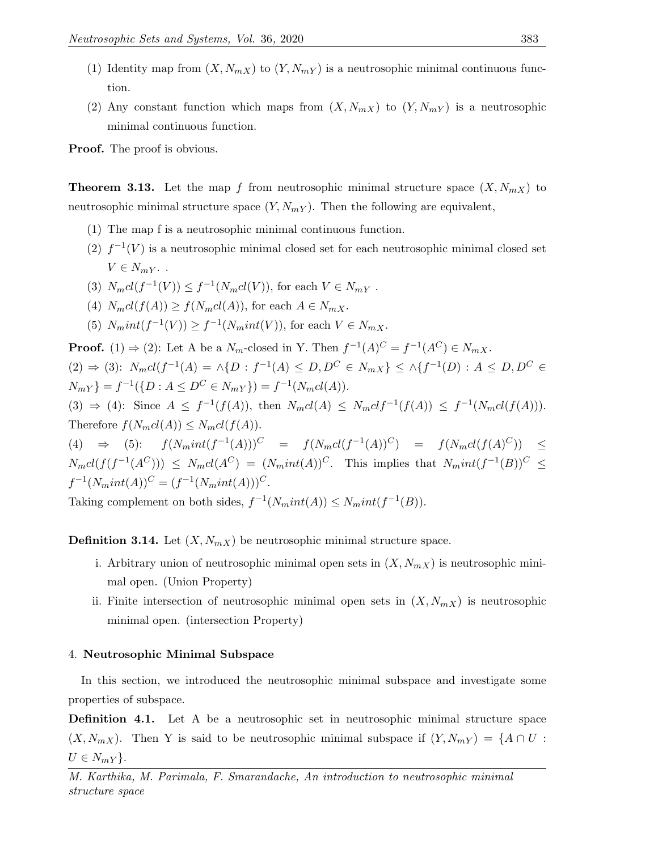- (1) Identity map from  $(X, N_{mX})$  to  $(Y, N_{mY})$  is a neutrosophic minimal continuous function.
- (2) Any constant function which maps from  $(X, N_{mX})$  to  $(Y, N_{mY})$  is a neutrosophic minimal continuous function.

**Proof.** The proof is obvious.

**Theorem 3.13.** Let the map f from neutrosophic minimal structure space  $(X, N_{mX})$  to neutrosophic minimal structure space  $(Y, N_{mY})$ . Then the following are equivalent,

- (1) The map f is a neutrosophic minimal continuous function.
- (2)  $f^{-1}(V)$  is a neutrosophic minimal closed set for each neutrosophic minimal closed set  $V \in N_m$   $\ldots$
- (3)  $N_m cl(f^{-1}(V)) \leq f^{-1}(N_m cl(V))$ , for each  $V \in N_{mY}$ .
- (4)  $N_mcl(f(A)) \ge f(N_mcl(A))$ , for each  $A \in N_m$ .
- (5)  $N<sub>m</sub>int(f<sup>-1</sup>(V)) \ge f<sup>-1</sup>(N<sub>m</sub>int(V)),$  for each  $V \in N<sub>m</sub>$ .

**Proof.** (1)  $\Rightarrow$  (2): Let A be a  $N_m$ -closed in Y. Then  $f^{-1}(A)^C = f^{-1}(A^C) \in N_m$ .  $(2) \Rightarrow (3)$ :  $N_m cl(f^{-1}(A) = \wedge \{D : f^{-1}(A) \leq D, D^C \in N_{mX}\} \leq \wedge \{f^{-1}(D) : A \leq D, D^C \in$  $N_{mY}$ } =  $f^{-1}(\{D : A \leq D^C \in N_{mY}\}) = f^{-1}(N_m cl(A)).$  $(3) \Rightarrow (4)$ : Since  $A \leq f^{-1}(f(A))$ , then  $N_mcl(A) \leq N_mcl(f^{-1}(f(A))) \leq f^{-1}(N_mcl(f(A))).$ Therefore  $f(N_mcl(A)) \leq N_mcl(f(A)).$ (4)  $\Rightarrow$  (5):  $f(N<sub>m</sub>int(f<sup>-1</sup>(A)))<sup>C</sup> = f(N<sub>m</sub>cl(f<sup>-1</sup>(A))<sup>C</sup>) = f(N<sub>m</sub>cl(f(A)<sup>C</sup>)) \le$  $N_mcl(f(f^{-1}(A^C))) \le N_mcl(A^C) = (N_mint(A))^C$ . This implies that  $N_mint(f^{-1}(B))^C \le$  $f^{-1}(N<sub>m</sub>int(A))^{C} = (f^{-1}(N<sub>m</sub>int(A)))^{C}.$ 

Taking complement on both sides,  $f^{-1}(N<sub>m</sub>int(A)) \leq N<sub>m</sub>int(f^{-1}(B)).$ 

**Definition 3.14.** Let  $(X, N_{mX})$  be neutrosophic minimal structure space.

- i. Arbitrary union of neutrosophic minimal open sets in  $(X, N_{mX})$  is neutrosophic minimal open. (Union Property)
- ii. Finite intersection of neutrosophic minimal open sets in  $(X, N_{mX})$  is neutrosophic minimal open. (intersection Property)

# 4. Neutrosophic Minimal Subspace

In this section, we introduced the neutrosophic minimal subspace and investigate some properties of subspace.

**Definition 4.1.** Let A be a neutrosophic set in neutrosophic minimal structure space  $(X, N_{mX})$ . Then Y is said to be neutrosophic minimal subspace if  $(Y, N_{mY}) = \{A \cap U :$  $U \in N_{mY}$ .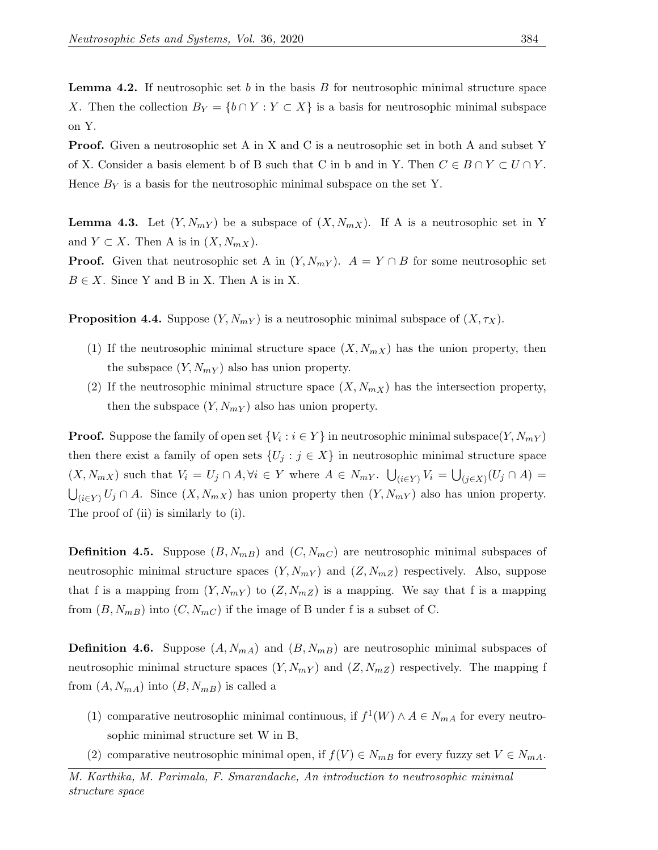**Lemma 4.2.** If neutrosophic set b in the basis  $B$  for neutrosophic minimal structure space X. Then the collection  $B_Y = \{b \cap Y : Y \subset X\}$  is a basis for neutrosophic minimal subspace on Y.

**Proof.** Given a neutrosophic set A in X and C is a neutrosophic set in both A and subset Y of X. Consider a basis element b of B such that C in b and in Y. Then  $C \in B \cap Y \subset U \cap Y$ . Hence  $B_Y$  is a basis for the neutrosophic minimal subspace on the set Y.

**Lemma 4.3.** Let  $(Y, N_{mY})$  be a subspace of  $(X, N_{mX})$ . If A is a neutrosophic set in Y and  $Y \subset X$ . Then A is in  $(X, N_{mX})$ .

**Proof.** Given that neutrosophic set A in  $(Y, N_{mY})$ .  $A = Y \cap B$  for some neutrosophic set  $B \in X$ . Since Y and B in X. Then A is in X.

**Proposition 4.4.** Suppose  $(Y, N_m Y)$  is a neutrosophic minimal subspace of  $(X, \tau_X)$ .

- (1) If the neutrosophic minimal structure space  $(X, N_{mX})$  has the union property, then the subspace  $(Y, N_{mY})$  also has union property.
- (2) If the neutrosophic minimal structure space  $(X, N_{mX})$  has the intersection property, then the subspace  $(Y, N_{mY})$  also has union property.

**Proof.** Suppose the family of open set  $\{V_i : i \in Y\}$  in neutrosophic minimal subspace $(Y, N_{mY})$ then there exist a family of open sets  $\{U_j : j \in X\}$  in neutrosophic minimal structure space  $(X, N_{mX})$  such that  $V_i = U_j \cap A, \forall i \in Y$  where  $A \in N_{mY}$ .  $\bigcup_{(i \in Y)} V_i = \bigcup_{(j \in X)} (U_j \cap A) =$  $\bigcup_{(i\in Y)} U_j \cap A$ . Since  $(X, N_{mX})$  has union property then  $(Y, N_{mY})$  also has union property. The proof of (ii) is similarly to (i).

**Definition 4.5.** Suppose  $(B, N_{mB})$  and  $(C, N_{mC})$  are neutrosophic minimal subspaces of neutrosophic minimal structure spaces  $(Y, N_{mY})$  and  $(Z, N_{mZ})$  respectively. Also, suppose that f is a mapping from  $(Y, N_{mY})$  to  $(Z, N_{mZ})$  is a mapping. We say that f is a mapping from  $(B, N_{mB})$  into  $(C, N_{mC})$  if the image of B under f is a subset of C.

**Definition 4.6.** Suppose  $(A, N_{mA})$  and  $(B, N_{mB})$  are neutrosophic minimal subspaces of neutrosophic minimal structure spaces  $(Y, N_{mY})$  and  $(Z, N_{mZ})$  respectively. The mapping f from  $(A, N_{mA})$  into  $(B, N_{mB})$  is called a

- (1) comparative neutrosophic minimal continuous, if  $f^1(W) \wedge A \in N_{m,n}$  for every neutrosophic minimal structure set W in B,
- (2) comparative neutrosophic minimal open, if  $f(V) \in N_{m}$  for every fuzzy set  $V \in N_{m}$ .

M. Karthika, M. Parimala, F. Smarandache, An introduction to neutrosophic minimal structure space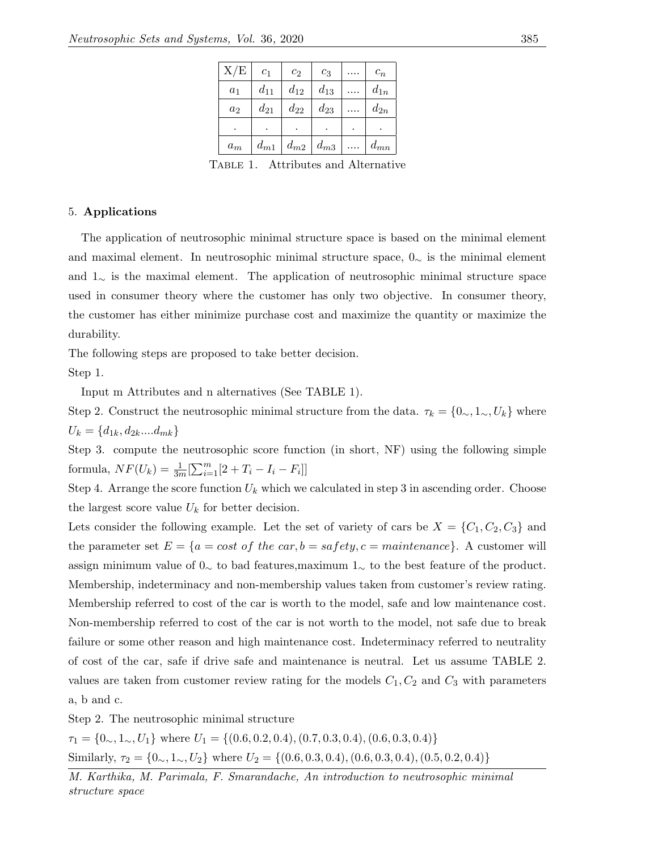| X/E   | c <sub>1</sub> | c <sub>2</sub> | $c_3$    |           | $c_n$    |
|-------|----------------|----------------|----------|-----------|----------|
| $a_1$ | $d_{11}$       | $d_{12}$       | $d_{13}$ |           | $d_{1n}$ |
| $a_2$ | $d_{21}$       | $d_{22}$       | $d_{23}$ |           | $d_{2n}$ |
| ٠     |                | ۰              | ٠        | $\bullet$ |          |
| $a_m$ | $d_{m1}$       | $d_{m2}$       | $d_{m3}$ |           | $d_{mn}$ |

TABLE 1. Attributes and Alternative

# 5. Applications

The application of neutrosophic minimal structure space is based on the minimal element and maximal element. In neutrosophic minimal structure space,  $0\sim$  is the minimal element and 1<sup>∼</sup> is the maximal element. The application of neutrosophic minimal structure space used in consumer theory where the customer has only two objective. In consumer theory, the customer has either minimize purchase cost and maximize the quantity or maximize the durability.

The following steps are proposed to take better decision.

Step 1.

Input m Attributes and n alternatives (See TABLE 1).

Step 2. Construct the neutrosophic minimal structure from the data.  $\tau_k = \{0, 1, 1, 0\}$  where  $U_k = \{d_{1k}, d_{2k} \dots d_{mk}\}\$ 

Step 3. compute the neutrosophic score function (in short, NF) using the following simple formula,  $NF(U_k) = \frac{1}{3m}[\sum_{i=1}^{m} [2 + T_i - I_i - F_i]]$ 

Step 4. Arrange the score function  $U_k$  which we calculated in step 3 in ascending order. Choose the largest score value  $U_k$  for better decision.

Lets consider the following example. Let the set of variety of cars be  $X = \{C_1, C_2, C_3\}$  and the parameter set  $E = \{a = cost\ of\ the\ car, b = safety, c = maintenance\}$ . A customer will assign minimum value of 0<sup>∼</sup> to bad features,maximum 1<sup>∼</sup> to the best feature of the product. Membership, indeterminacy and non-membership values taken from customer's review rating. Membership referred to cost of the car is worth to the model, safe and low maintenance cost. Non-membership referred to cost of the car is not worth to the model, not safe due to break failure or some other reason and high maintenance cost. Indeterminacy referred to neutrality of cost of the car, safe if drive safe and maintenance is neutral. Let us assume TABLE 2. values are taken from customer review rating for the models  $C_1, C_2$  and  $C_3$  with parameters a, b and c.

Step 2. The neutrosophic minimal structure

 $\tau_1 = \{0, 1, 1, 0, U_1\}$  where  $U_1 = \{(0.6, 0.2, 0.4), (0.7, 0.3, 0.4), (0.6, 0.3, 0.4)\}$ Similarly,  $\tau_2 = \{0, 1, 1, 0, U_2\}$  where  $U_2 = \{(0.6, 0.3, 0.4), (0.6, 0.3, 0.4), (0.5, 0.2, 0.4)\}$ 

M. Karthika, M. Parimala, F. Smarandache, An introduction to neutrosophic minimal structure space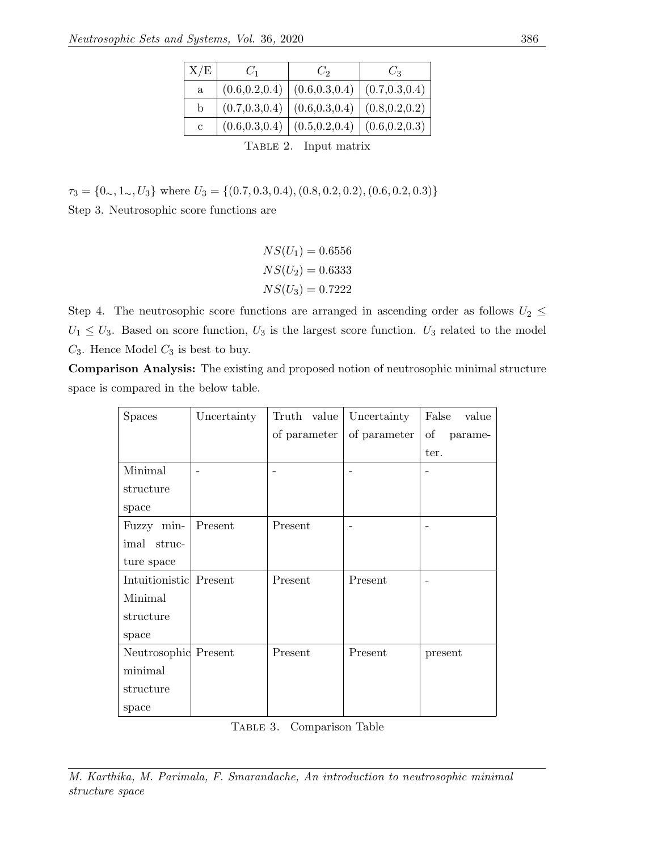| X/E                   | $C_1$           | $C_2$           | $C_3$           |  |  |  |
|-----------------------|-----------------|-----------------|-----------------|--|--|--|
| a                     | (0.6, 0.2, 0.4) | (0.6, 0.3, 0.4) | (0.7, 0.3, 0.4) |  |  |  |
| b                     | (0.7, 0.3, 0.4) | (0.6, 0.3, 0.4) | (0.8, 0.2, 0.2) |  |  |  |
| $\mathbf c$           | (0.6, 0.3, 0.4) | (0.5, 0.2, 0.4) | (0.6, 0.2, 0.3) |  |  |  |
| TABLE 2. Input matrix |                 |                 |                 |  |  |  |

# $\tau_3 = \{0\scriptsize{\sim}, 1\scriptsize{\sim}, U_3\}$  where  $U_3 = \{(0.7, 0.3, 0.4), (0.8, 0.2, 0.2), (0.6, 0.2, 0.3)\}$ Step 3. Neutrosophic score functions are

 $NS(U_1) = 0.6556$  $NS(U_2) = 0.6333$  $NS(U_3) = 0.7222$ 

Step 4. The neutrosophic score functions are arranged in ascending order as follows  $U_2 \leq$  $U_1 \leq U_3$ . Based on score function,  $U_3$  is the largest score function.  $U_3$  related to the model  $C_3$ . Hence Model  $C_3$  is best to buy.

Comparison Analysis: The existing and proposed notion of neutrosophic minimal structure space is compared in the below table.

| <b>Spaces</b>          | Uncertainty | Truth value  | Uncertainty  | False<br>value |
|------------------------|-------------|--------------|--------------|----------------|
|                        |             | of parameter | of parameter | of parame-     |
|                        |             |              |              | ter.           |
| Minimal                |             |              |              |                |
| structure              |             |              |              |                |
| space                  |             |              |              |                |
| Fuzzy min-             | Present     | Present      |              |                |
| imal struc-            |             |              |              |                |
| ture space             |             |              |              |                |
| Intuitionistic Present |             | Present      | Present      |                |
| Minimal                |             |              |              |                |
| structure              |             |              |              |                |
| space                  |             |              |              |                |
| Neutrosophic Present   |             | Present      | Present      | present        |
| minimal                |             |              |              |                |
| structure              |             |              |              |                |
| space                  |             |              |              |                |

Table 3. Comparison Table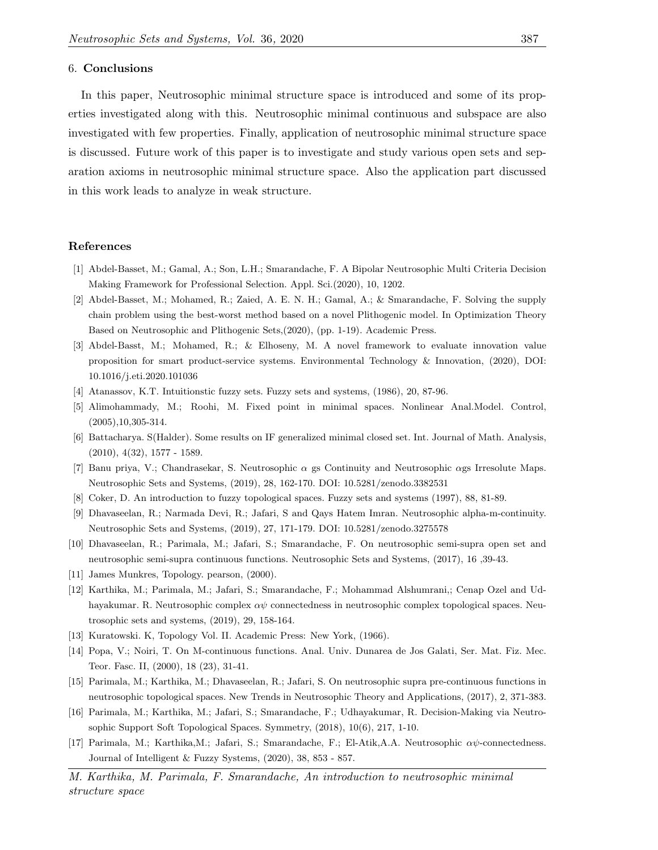#### 6. Conclusions

In this paper, Neutrosophic minimal structure space is introduced and some of its properties investigated along with this. Neutrosophic minimal continuous and subspace are also investigated with few properties. Finally, application of neutrosophic minimal structure space is discussed. Future work of this paper is to investigate and study various open sets and separation axioms in neutrosophic minimal structure space. Also the application part discussed in this work leads to analyze in weak structure.

### References

- [1] Abdel-Basset, M.; Gamal, A.; Son, L.H.; Smarandache, F. A Bipolar Neutrosophic Multi Criteria Decision Making Framework for Professional Selection. Appl. Sci.(2020), 10, 1202.
- [2] Abdel-Basset, M.; Mohamed, R.; Zaied, A. E. N. H.; Gamal, A.; & Smarandache, F. Solving the supply chain problem using the best-worst method based on a novel Plithogenic model. In Optimization Theory Based on Neutrosophic and Plithogenic Sets,(2020), (pp. 1-19). Academic Press.
- [3] Abdel-Basst, M.; Mohamed, R.; & Elhoseny, M. A novel framework to evaluate innovation value proposition for smart product-service systems. Environmental Technology & Innovation, (2020), DOI: 10.1016/j.eti.2020.101036
- <span id="page-9-0"></span>[4] Atanassov, K.T. Intuitionstic fuzzy sets. Fuzzy sets and systems, (1986), 20, 87-96.
- <span id="page-9-5"></span>[5] Alimohammady, M.; Roohi, M. Fixed point in minimal spaces. Nonlinear Anal.Model. Control, (2005),10,305-314.
- <span id="page-9-6"></span>[6] Battacharya. S(Halder). Some results on IF generalized minimal closed set. Int. Journal of Math. Analysis, (2010), 4(32), 1577 - 1589.
- [7] Banu priya, V.; Chandrasekar, S. Neutrosophic  $\alpha$  gs Continuity and Neutrosophic  $\alpha$ gs Irresolute Maps. Neutrosophic Sets and Systems, (2019), 28, 162-170. DOI: 10.5281/zenodo.3382531
- [8] Coker, D. An introduction to fuzzy topological spaces. Fuzzy sets and systems (1997), 88, 81-89.
- [9] Dhavaseelan, R.; Narmada Devi, R.; Jafari, S and Qays Hatem Imran. Neutrosophic alpha-m-continuity. Neutrosophic Sets and Systems, (2019), 27, 171-179. DOI: 10.5281/zenodo.3275578
- [10] Dhavaseelan, R.; Parimala, M.; Jafari, S.; Smarandache, F. On neutrosophic semi-supra open set and neutrosophic semi-supra continuous functions. Neutrosophic Sets and Systems, (2017), 16 ,39-43.
- <span id="page-9-3"></span>[11] James Munkres, Topology. pearson, (2000).
- <span id="page-9-1"></span>[12] Karthika, M.; Parimala, M.; Jafari, S.; Smarandache, F.; Mohammad Alshumrani,; Cenap Ozel and Udhayakumar. R. Neutrosophic complex  $\alpha\psi$  connectedness in neutrosophic complex topological spaces. Neutrosophic sets and systems, (2019), 29, 158-164.
- [13] Kuratowski. K, Topology Vol. II. Academic Press: New York, (1966).
- <span id="page-9-4"></span>[14] Popa, V.; Noiri, T. On M-continuous functions. Anal. Univ. Dunarea de Jos Galati, Ser. Mat. Fiz. Mec. Teor. Fasc. II, (2000), 18 (23), 31-41.
- <span id="page-9-2"></span>[15] Parimala, M.; Karthika, M.; Dhavaseelan, R.; Jafari, S. On neutrosophic supra pre-continuous functions in neutrosophic topological spaces. New Trends in Neutrosophic Theory and Applications, (2017), 2, 371-383.
- [16] Parimala, M.; Karthika, M.; Jafari, S.; Smarandache, F.; Udhayakumar, R. Decision-Making via Neutrosophic Support Soft Topological Spaces. Symmetry, (2018), 10(6), 217, 1-10.
- [17] Parimala, M.; Karthika,M.; Jafari, S.; Smarandache, F.; El-Atik,A.A. Neutrosophic αψ-connectedness. Journal of Intelligent & Fuzzy Systems, (2020), 38, 853 - 857.